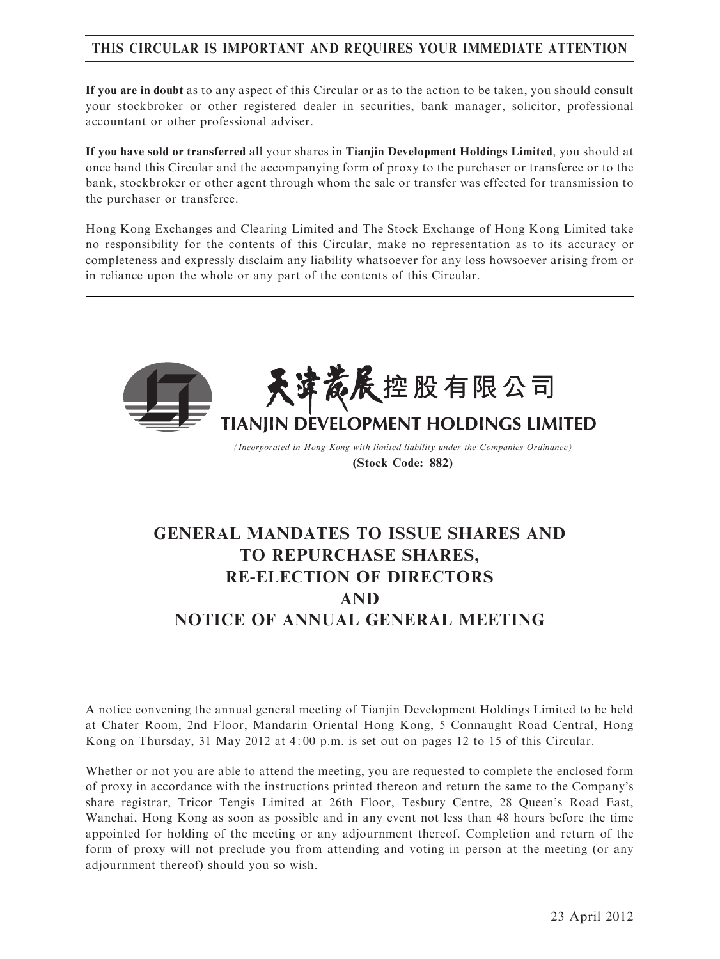# THIS CIRCULAR IS IMPORTANT AND REQUIRES YOUR IMMEDIATE ATTENTION

If you are in doubt as to any aspect of this Circular or as to the action to be taken, you should consult your stockbroker or other registered dealer in securities, bank manager, solicitor, professional accountant or other professional adviser.

If you have sold or transferred all your shares in Tianjin Development Holdings Limited, you should at once hand this Circular and the accompanying form of proxy to the purchaser or transferee or to the bank, stockbroker or other agent through whom the sale or transfer was effected for transmission to the purchaser or transferee.

Hong Kong Exchanges and Clearing Limited and The Stock Exchange of Hong Kong Limited take no responsibility for the contents of this Circular, make no representation as to its accuracy or completeness and expressly disclaim any liability whatsoever for any loss howsoever arising from or in reliance upon the whole or any part of the contents of this Circular.



(Incorporated in Hong Kong with limited liability under the Companies Ordinance) (Stock Code: 882)

# GENERAL MANDATES TO ISSUE SHARES AND TO REPURCHASE SHARES, RE-ELECTION OF DIRECTORS AND NOTICE OF ANNUAL GENERAL MEETING

A notice convening the annual general meeting of Tianjin Development Holdings Limited to be held at Chater Room, 2nd Floor, Mandarin Oriental Hong Kong, 5 Connaught Road Central, Hong Kong on Thursday, 31 May 2012 at 4: 00 p.m. is set out on pages 12 to 15 of this Circular.

Whether or not you are able to attend the meeting, you are requested to complete the enclosed form of proxy in accordance with the instructions printed thereon and return the same to the Company's share registrar, Tricor Tengis Limited at 26th Floor, Tesbury Centre, 28 Queen's Road East, Wanchai, Hong Kong as soon as possible and in any event not less than 48 hours before the time appointed for holding of the meeting or any adjournment thereof. Completion and return of the form of proxy will not preclude you from attending and voting in person at the meeting (or any adjournment thereof) should you so wish.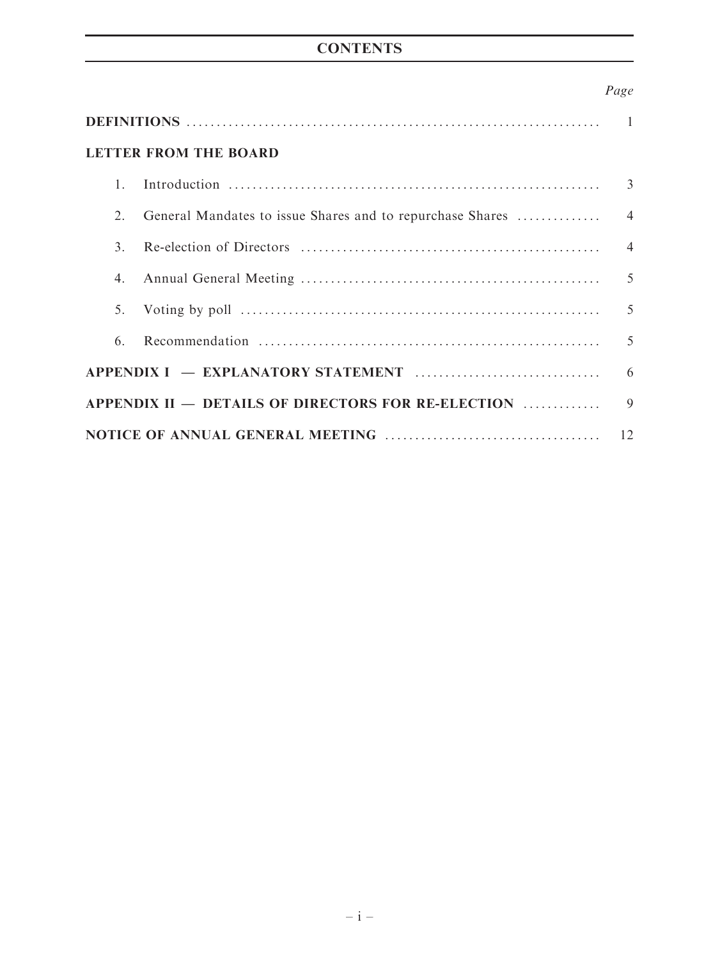# **CONTENTS**

# Page

| <b>LETTER FROM THE BOARD</b> |  |  |  |  |
|------------------------------|--|--|--|--|
| 1.                           |  |  |  |  |
| 2.                           |  |  |  |  |
| $\mathcal{E}$                |  |  |  |  |
| 4.                           |  |  |  |  |
| 5.                           |  |  |  |  |
| 6.                           |  |  |  |  |
|                              |  |  |  |  |
|                              |  |  |  |  |
|                              |  |  |  |  |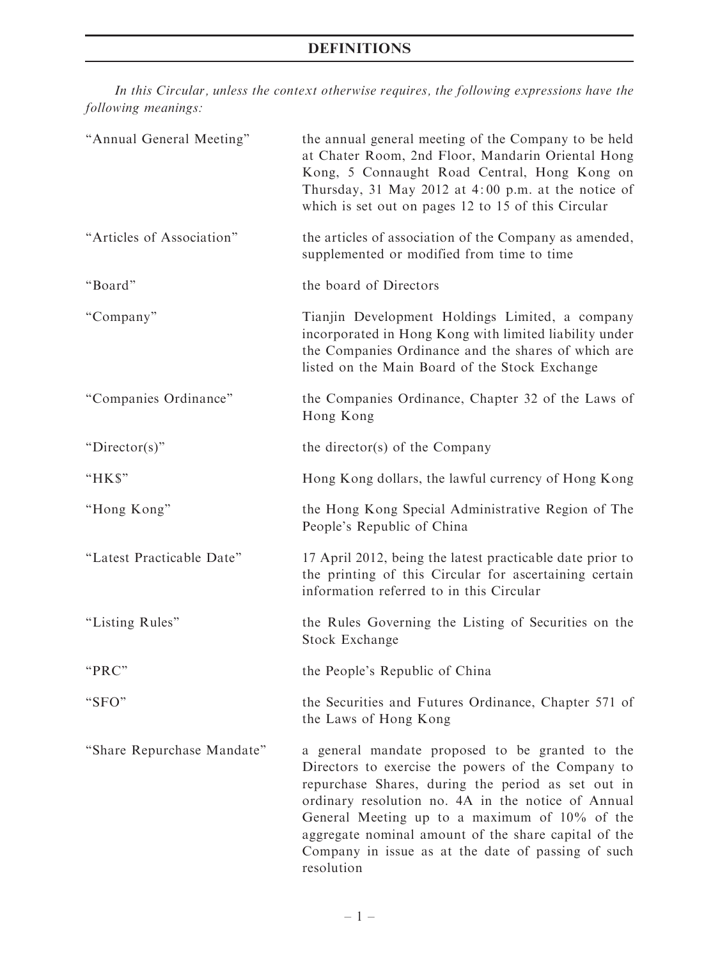# DEFINITIONS

In this Circular, unless the context otherwise requires, the following expressions have the following meanings:

| "Annual General Meeting"   | the annual general meeting of the Company to be held<br>at Chater Room, 2nd Floor, Mandarin Oriental Hong<br>Kong, 5 Connaught Road Central, Hong Kong on<br>Thursday, 31 May 2012 at 4:00 p.m. at the notice of<br>which is set out on pages 12 to 15 of this Circular                                                                                                                        |  |  |
|----------------------------|------------------------------------------------------------------------------------------------------------------------------------------------------------------------------------------------------------------------------------------------------------------------------------------------------------------------------------------------------------------------------------------------|--|--|
| "Articles of Association"  | the articles of association of the Company as amended,<br>supplemented or modified from time to time                                                                                                                                                                                                                                                                                           |  |  |
| "Board"                    | the board of Directors                                                                                                                                                                                                                                                                                                                                                                         |  |  |
| "Company"                  | Tianjin Development Holdings Limited, a company<br>incorporated in Hong Kong with limited liability under<br>the Companies Ordinance and the shares of which are<br>listed on the Main Board of the Stock Exchange                                                                                                                                                                             |  |  |
| "Companies Ordinance"      | the Companies Ordinance, Chapter 32 of the Laws of<br>Hong Kong                                                                                                                                                                                                                                                                                                                                |  |  |
| " $Director(s)$ "          | the director(s) of the Company                                                                                                                                                                                                                                                                                                                                                                 |  |  |
| "HK\$"                     | Hong Kong dollars, the lawful currency of Hong Kong                                                                                                                                                                                                                                                                                                                                            |  |  |
| "Hong Kong"                | the Hong Kong Special Administrative Region of The<br>People's Republic of China                                                                                                                                                                                                                                                                                                               |  |  |
| "Latest Practicable Date"  | 17 April 2012, being the latest practicable date prior to<br>the printing of this Circular for ascertaining certain<br>information referred to in this Circular                                                                                                                                                                                                                                |  |  |
| "Listing Rules"            | the Rules Governing the Listing of Securities on the<br>Stock Exchange                                                                                                                                                                                                                                                                                                                         |  |  |
| "PRC"                      | the People's Republic of China                                                                                                                                                                                                                                                                                                                                                                 |  |  |
| "SFO"                      | the Securities and Futures Ordinance, Chapter 571 of<br>the Laws of Hong Kong                                                                                                                                                                                                                                                                                                                  |  |  |
| "Share Repurchase Mandate" | a general mandate proposed to be granted to the<br>Directors to exercise the powers of the Company to<br>repurchase Shares, during the period as set out in<br>ordinary resolution no. 4A in the notice of Annual<br>General Meeting up to a maximum of 10% of the<br>aggregate nominal amount of the share capital of the<br>Company in issue as at the date of passing of such<br>resolution |  |  |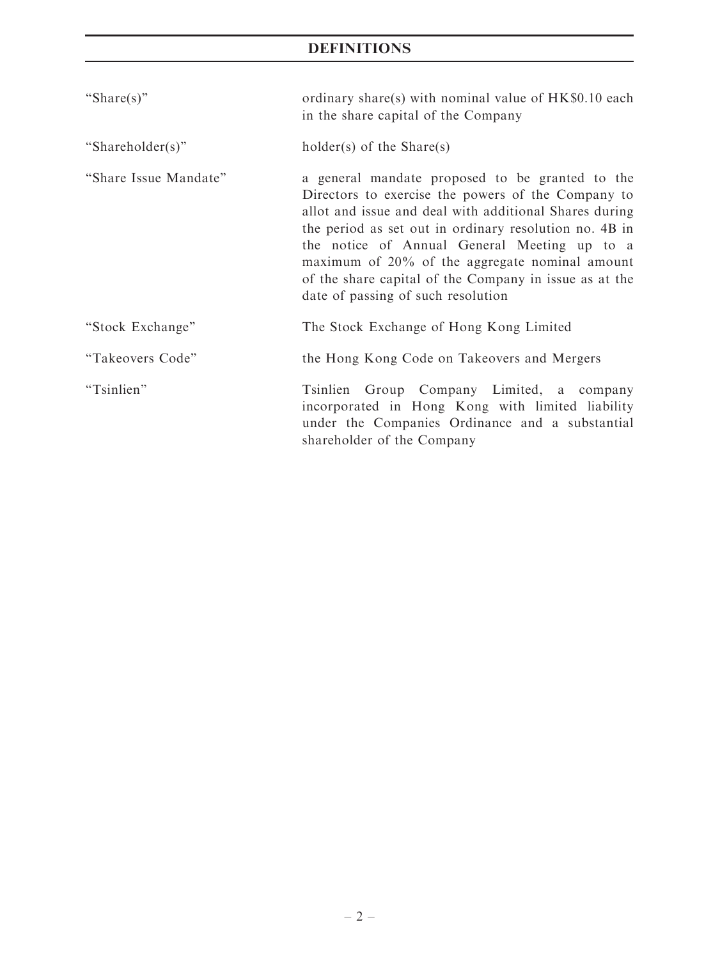# DEFINITIONS

| "Share(s)"            | ordinary share(s) with nominal value of HK\$0.10 each<br>in the share capital of the Company                                                                                                                                                                                                                                                                                                                                |  |  |
|-----------------------|-----------------------------------------------------------------------------------------------------------------------------------------------------------------------------------------------------------------------------------------------------------------------------------------------------------------------------------------------------------------------------------------------------------------------------|--|--|
| "Shareholder(s)"      | $holder(s)$ of the Share(s)                                                                                                                                                                                                                                                                                                                                                                                                 |  |  |
| "Share Issue Mandate" | a general mandate proposed to be granted to the<br>Directors to exercise the powers of the Company to<br>allot and issue and deal with additional Shares during<br>the period as set out in ordinary resolution no. 4B in<br>the notice of Annual General Meeting up to a<br>maximum of 20% of the aggregate nominal amount<br>of the share capital of the Company in issue as at the<br>date of passing of such resolution |  |  |
| "Stock Exchange"      | The Stock Exchange of Hong Kong Limited                                                                                                                                                                                                                                                                                                                                                                                     |  |  |
| "Takeovers Code"      | the Hong Kong Code on Takeovers and Mergers                                                                                                                                                                                                                                                                                                                                                                                 |  |  |
| "Tsinlien"            | Tsinlien Group Company Limited, a company<br>incorporated in Hong Kong with limited liability<br>under the Companies Ordinance and a substantial<br>shareholder of the Company                                                                                                                                                                                                                                              |  |  |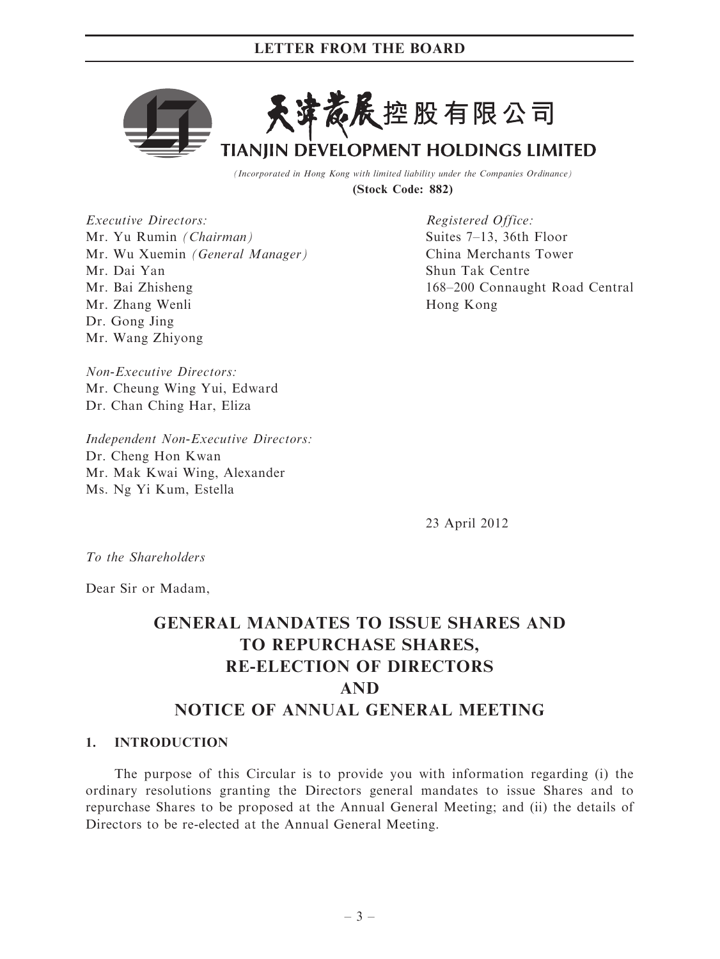# LETTER FROM THE BOARD



(Incorporated in Hong Kong with limited liability under the Companies Ordinance) (Stock Code: 882)

Executive Directors: Mr. Yu Rumin (Chairman) Mr. Wu Xuemin (General Manager) Mr. Dai Yan Mr. Bai Zhisheng Mr. Zhang Wenli Dr. Gong Jing Mr. Wang Zhiyong

Registered Office: Suites 7–13, 36th Floor China Merchants Tower Shun Tak Centre 168–200 Connaught Road Central Hong Kong

Non-Executive Directors: Mr. Cheung Wing Yui, Edward Dr. Chan Ching Har, Eliza

Independent Non-Executive Directors: Dr. Cheng Hon Kwan Mr. Mak Kwai Wing, Alexander Ms. Ng Yi Kum, Estella

23 April 2012

To the Shareholders

Dear Sir or Madam,

# GENERAL MANDATES TO ISSUE SHARES AND TO REPURCHASE SHARES, RE-ELECTION OF DIRECTORS AND NOTICE OF ANNUAL GENERAL MEETING

#### 1. INTRODUCTION

The purpose of this Circular is to provide you with information regarding (i) the ordinary resolutions granting the Directors general mandates to issue Shares and to repurchase Shares to be proposed at the Annual General Meeting; and (ii) the details of Directors to be re-elected at the Annual General Meeting.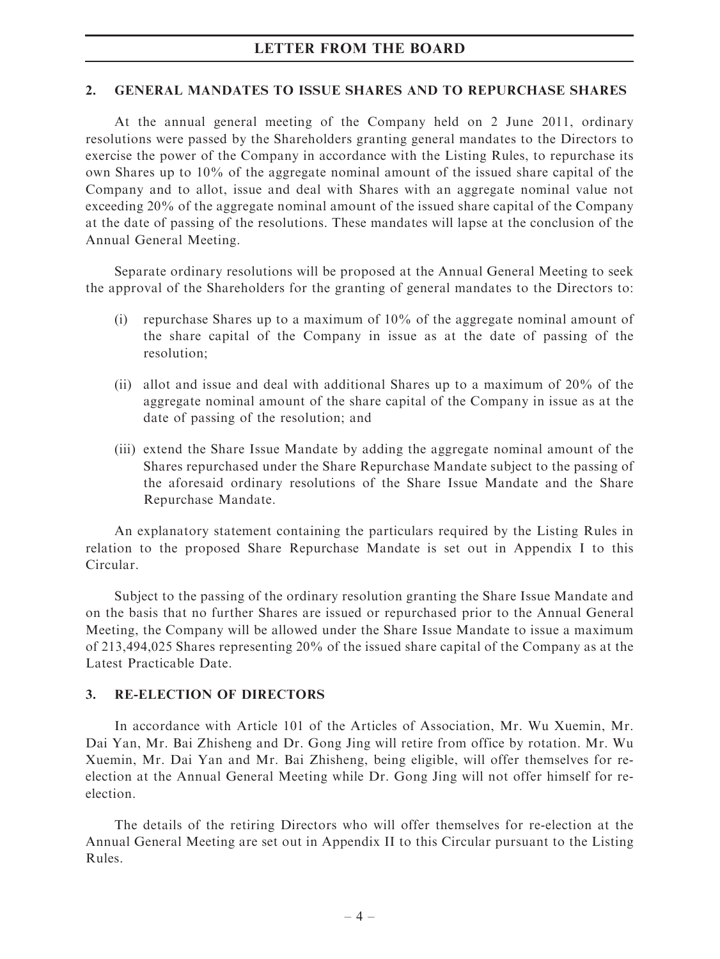# LETTER FROM THE BOARD

#### 2. GENERAL MANDATES TO ISSUE SHARES AND TO REPURCHASE SHARES

At the annual general meeting of the Company held on 2 June 2011, ordinary resolutions were passed by the Shareholders granting general mandates to the Directors to exercise the power of the Company in accordance with the Listing Rules, to repurchase its own Shares up to 10% of the aggregate nominal amount of the issued share capital of the Company and to allot, issue and deal with Shares with an aggregate nominal value not exceeding 20% of the aggregate nominal amount of the issued share capital of the Company at the date of passing of the resolutions. These mandates will lapse at the conclusion of the Annual General Meeting.

Separate ordinary resolutions will be proposed at the Annual General Meeting to seek the approval of the Shareholders for the granting of general mandates to the Directors to:

- (i) repurchase Shares up to a maximum of 10% of the aggregate nominal amount of the share capital of the Company in issue as at the date of passing of the resolution;
- (ii) allot and issue and deal with additional Shares up to a maximum of 20% of the aggregate nominal amount of the share capital of the Company in issue as at the date of passing of the resolution; and
- (iii) extend the Share Issue Mandate by adding the aggregate nominal amount of the Shares repurchased under the Share Repurchase Mandate subject to the passing of the aforesaid ordinary resolutions of the Share Issue Mandate and the Share Repurchase Mandate.

An explanatory statement containing the particulars required by the Listing Rules in relation to the proposed Share Repurchase Mandate is set out in Appendix I to this Circular.

Subject to the passing of the ordinary resolution granting the Share Issue Mandate and on the basis that no further Shares are issued or repurchased prior to the Annual General Meeting, the Company will be allowed under the Share Issue Mandate to issue a maximum of 213,494,025 Shares representing 20% of the issued share capital of the Company as at the Latest Practicable Date.

#### 3. RE-ELECTION OF DIRECTORS

In accordance with Article 101 of the Articles of Association, Mr. Wu Xuemin, Mr. Dai Yan, Mr. Bai Zhisheng and Dr. Gong Jing will retire from office by rotation. Mr. Wu Xuemin, Mr. Dai Yan and Mr. Bai Zhisheng, being eligible, will offer themselves for reelection at the Annual General Meeting while Dr. Gong Jing will not offer himself for reelection.

The details of the retiring Directors who will offer themselves for re-election at the Annual General Meeting are set out in Appendix II to this Circular pursuant to the Listing Rules.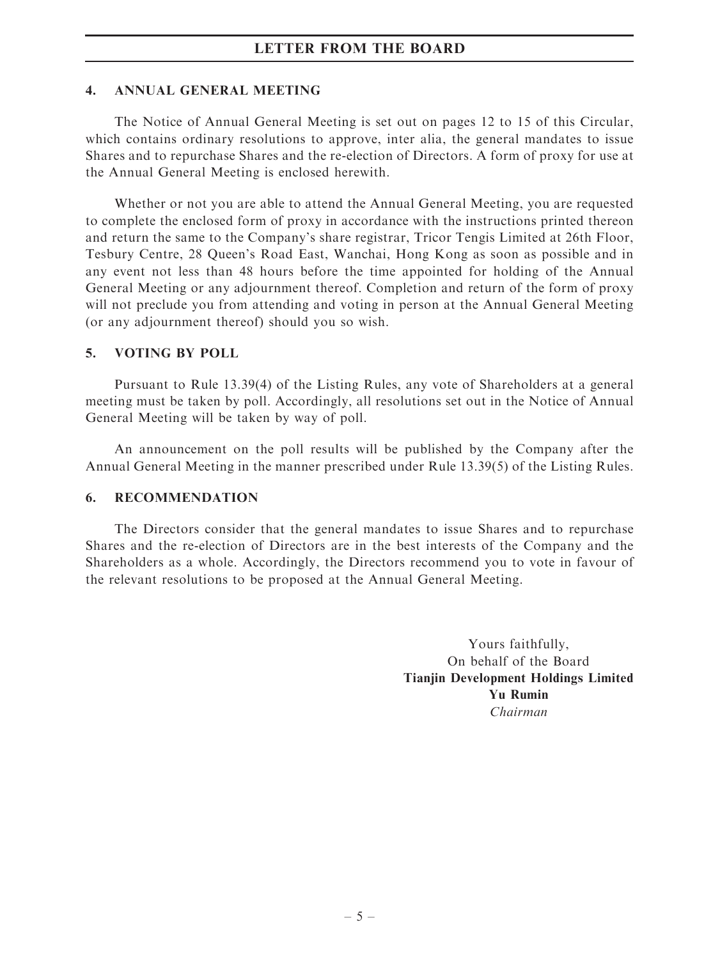# LETTER FROM THE BOARD

### 4. ANNUAL GENERAL MEETING

The Notice of Annual General Meeting is set out on pages 12 to 15 of this Circular, which contains ordinary resolutions to approve, inter alia, the general mandates to issue Shares and to repurchase Shares and the re-election of Directors. A form of proxy for use at the Annual General Meeting is enclosed herewith.

Whether or not you are able to attend the Annual General Meeting, you are requested to complete the enclosed form of proxy in accordance with the instructions printed thereon and return the same to the Company's share registrar, Tricor Tengis Limited at 26th Floor, Tesbury Centre, 28 Queen's Road East, Wanchai, Hong Kong as soon as possible and in any event not less than 48 hours before the time appointed for holding of the Annual General Meeting or any adjournment thereof. Completion and return of the form of proxy will not preclude you from attending and voting in person at the Annual General Meeting (or any adjournment thereof) should you so wish.

# 5. VOTING BY POLL

Pursuant to Rule 13.39(4) of the Listing Rules, any vote of Shareholders at a general meeting must be taken by poll. Accordingly, all resolutions set out in the Notice of Annual General Meeting will be taken by way of poll.

An announcement on the poll results will be published by the Company after the Annual General Meeting in the manner prescribed under Rule 13.39(5) of the Listing Rules.

# 6. RECOMMENDATION

The Directors consider that the general mandates to issue Shares and to repurchase Shares and the re-election of Directors are in the best interests of the Company and the Shareholders as a whole. Accordingly, the Directors recommend you to vote in favour of the relevant resolutions to be proposed at the Annual General Meeting.

> Yours faithfully, On behalf of the Board Tianjin Development Holdings Limited Yu Rumin Chairman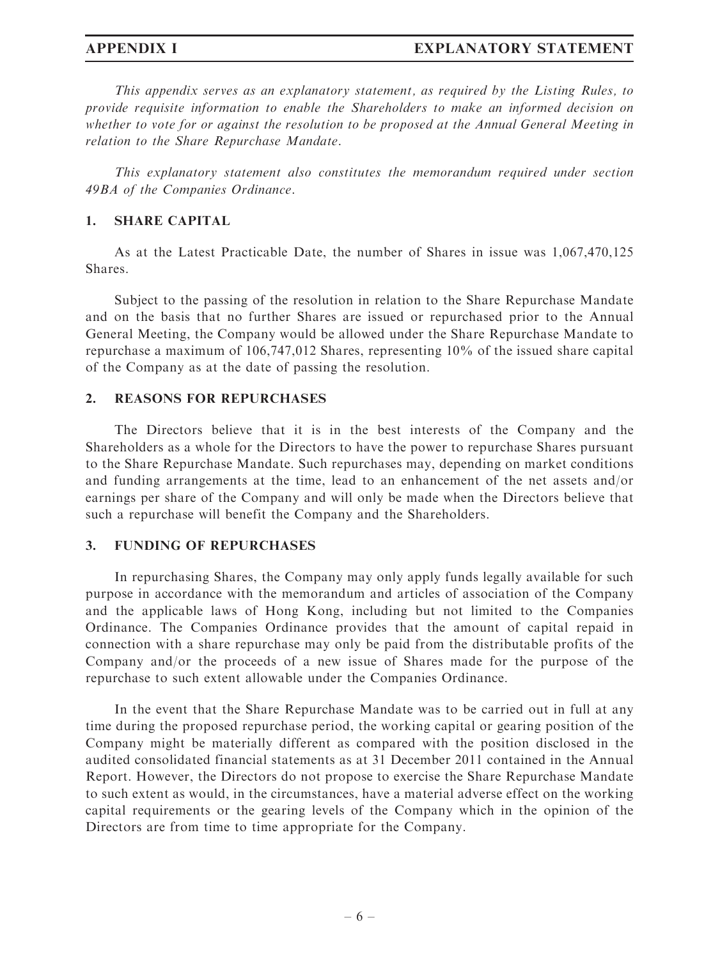### APPENDIX I EXPLANATORY STATEMENT

This appendix serves as an explanatory statement, as required by the Listing Rules, to provide requisite information to enable the Shareholders to make an informed decision on whether to vote for or against the resolution to be proposed at the Annual General Meeting in relation to the Share Repurchase Mandate.

This explanatory statement also constitutes the memorandum required under section 49BA of the Companies Ordinance.

#### 1. SHARE CAPITAL

As at the Latest Practicable Date, the number of Shares in issue was 1,067,470,125 Shares.

Subject to the passing of the resolution in relation to the Share Repurchase Mandate and on the basis that no further Shares are issued or repurchased prior to the Annual General Meeting, the Company would be allowed under the Share Repurchase Mandate to repurchase a maximum of 106,747,012 Shares, representing 10% of the issued share capital of the Company as at the date of passing the resolution.

### 2. REASONS FOR REPURCHASES

The Directors believe that it is in the best interests of the Company and the Shareholders as a whole for the Directors to have the power to repurchase Shares pursuant to the Share Repurchase Mandate. Such repurchases may, depending on market conditions and funding arrangements at the time, lead to an enhancement of the net assets and/or earnings per share of the Company and will only be made when the Directors believe that such a repurchase will benefit the Company and the Shareholders.

#### 3. FUNDING OF REPURCHASES

In repurchasing Shares, the Company may only apply funds legally available for such purpose in accordance with the memorandum and articles of association of the Company and the applicable laws of Hong Kong, including but not limited to the Companies Ordinance. The Companies Ordinance provides that the amount of capital repaid in connection with a share repurchase may only be paid from the distributable profits of the Company and/or the proceeds of a new issue of Shares made for the purpose of the repurchase to such extent allowable under the Companies Ordinance.

In the event that the Share Repurchase Mandate was to be carried out in full at any time during the proposed repurchase period, the working capital or gearing position of the Company might be materially different as compared with the position disclosed in the audited consolidated financial statements as at 31 December 2011 contained in the Annual Report. However, the Directors do not propose to exercise the Share Repurchase Mandate to such extent as would, in the circumstances, have a material adverse effect on the working capital requirements or the gearing levels of the Company which in the opinion of the Directors are from time to time appropriate for the Company.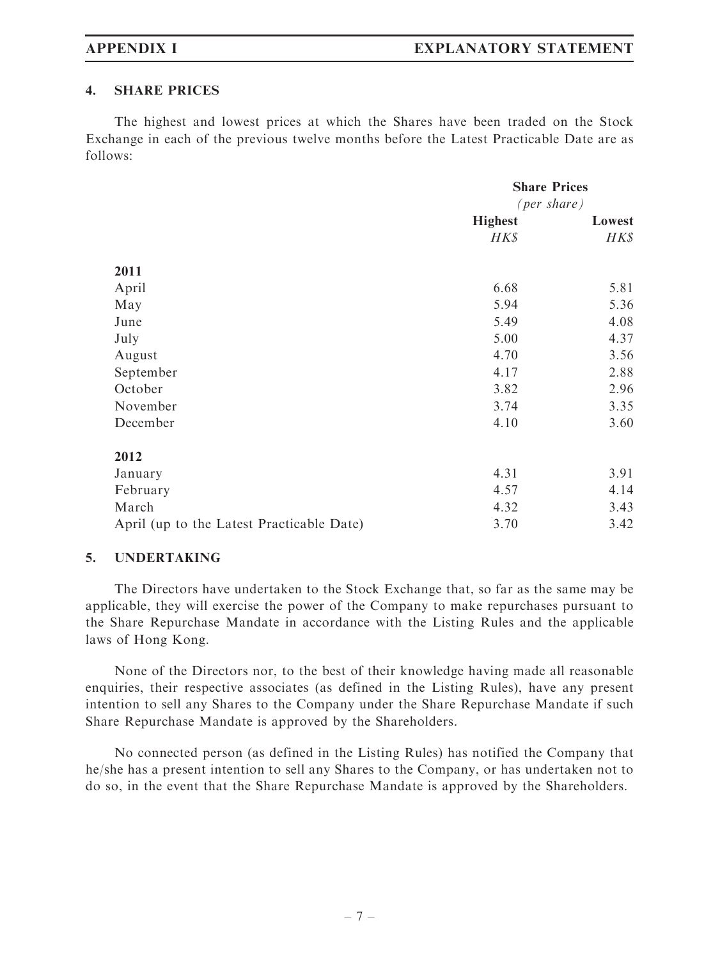### 4. SHARE PRICES

The highest and lowest prices at which the Shares have been traded on the Stock Exchange in each of the previous twelve months before the Latest Practicable Date are as follows:

|                                           | <b>Share Prices</b>   |        |
|-------------------------------------------|-----------------------|--------|
|                                           | ${\rm (per\, share)}$ |        |
|                                           | <b>Highest</b>        | Lowest |
|                                           | H K S                 | HK\$   |
| 2011                                      |                       |        |
| April                                     | 6.68                  | 5.81   |
| May                                       | 5.94                  | 5.36   |
| June                                      | 5.49                  | 4.08   |
| July                                      | 5.00                  | 4.37   |
| August                                    | 4.70                  | 3.56   |
| September                                 | 4.17                  | 2.88   |
| October                                   | 3.82                  | 2.96   |
| November                                  | 3.74                  | 3.35   |
| December                                  | 4.10                  | 3.60   |
| 2012                                      |                       |        |
| January                                   | 4.31                  | 3.91   |
| February                                  | 4.57                  | 4.14   |
| March                                     | 4.32                  | 3.43   |
| April (up to the Latest Practicable Date) | 3.70                  | 3.42   |

### 5. UNDERTAKING

The Directors have undertaken to the Stock Exchange that, so far as the same may be applicable, they will exercise the power of the Company to make repurchases pursuant to the Share Repurchase Mandate in accordance with the Listing Rules and the applicable laws of Hong Kong.

None of the Directors nor, to the best of their knowledge having made all reasonable enquiries, their respective associates (as defined in the Listing Rules), have any present intention to sell any Shares to the Company under the Share Repurchase Mandate if such Share Repurchase Mandate is approved by the Shareholders.

No connected person (as defined in the Listing Rules) has notified the Company that he/she has a present intention to sell any Shares to the Company, or has undertaken not to do so, in the event that the Share Repurchase Mandate is approved by the Shareholders.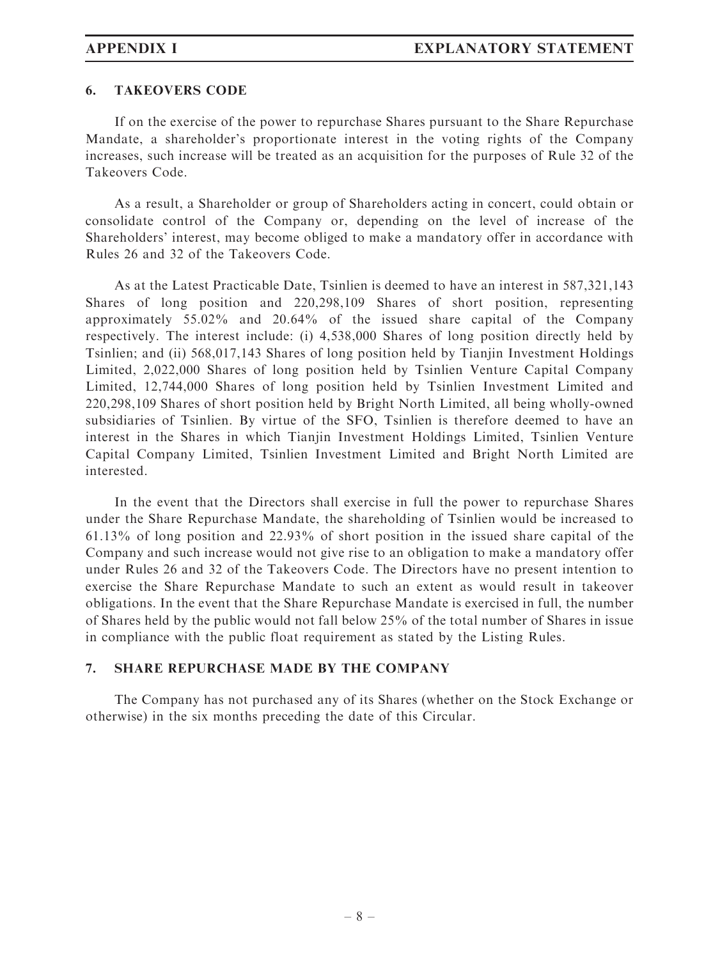### 6. TAKEOVERS CODE

If on the exercise of the power to repurchase Shares pursuant to the Share Repurchase Mandate, a shareholder's proportionate interest in the voting rights of the Company increases, such increase will be treated as an acquisition for the purposes of Rule 32 of the Takeovers Code.

As a result, a Shareholder or group of Shareholders acting in concert, could obtain or consolidate control of the Company or, depending on the level of increase of the Shareholders' interest, may become obliged to make a mandatory offer in accordance with Rules 26 and 32 of the Takeovers Code.

As at the Latest Practicable Date, Tsinlien is deemed to have an interest in 587,321,143 Shares of long position and 220,298,109 Shares of short position, representing approximately 55.02% and 20.64% of the issued share capital of the Company respectively. The interest include: (i) 4,538,000 Shares of long position directly held by Tsinlien; and (ii) 568,017,143 Shares of long position held by Tianjin Investment Holdings Limited, 2,022,000 Shares of long position held by Tsinlien Venture Capital Company Limited, 12,744,000 Shares of long position held by Tsinlien Investment Limited and 220,298,109 Shares of short position held by Bright North Limited, all being wholly-owned subsidiaries of Tsinlien. By virtue of the SFO, Tsinlien is therefore deemed to have an interest in the Shares in which Tianiin Investment Holdings Limited, Tsinlien Venture Capital Company Limited, Tsinlien Investment Limited and Bright North Limited are interested.

In the event that the Directors shall exercise in full the power to repurchase Shares under the Share Repurchase Mandate, the shareholding of Tsinlien would be increased to 61.13% of long position and 22.93% of short position in the issued share capital of the Company and such increase would not give rise to an obligation to make a mandatory offer under Rules 26 and 32 of the Takeovers Code. The Directors have no present intention to exercise the Share Repurchase Mandate to such an extent as would result in takeover obligations. In the event that the Share Repurchase Mandate is exercised in full, the number of Shares held by the public would not fall below 25% of the total number of Shares in issue in compliance with the public float requirement as stated by the Listing Rules.

# 7. SHARE REPURCHASE MADE BY THE COMPANY

The Company has not purchased any of its Shares (whether on the Stock Exchange or otherwise) in the six months preceding the date of this Circular.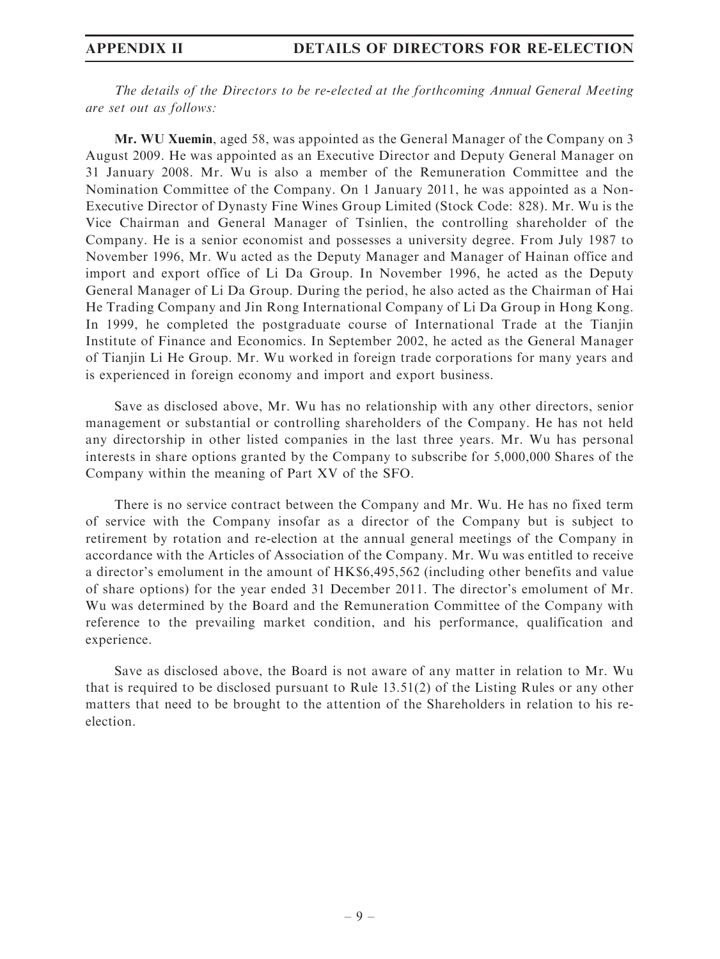The details of the Directors to be re-elected at the forthcoming Annual General Meeting are set out as follows:

Mr. WU Xuemin, aged 58, was appointed as the General Manager of the Company on 3 August 2009. He was appointed as an Executive Director and Deputy General Manager on 31 January 2008. Mr. Wu is also a member of the Remuneration Committee and the Nomination Committee of the Company. On 1 January 2011, he was appointed as a Non-Executive Director of Dynasty Fine Wines Group Limited (Stock Code: 828). Mr. Wu is the Vice Chairman and General Manager of Tsinlien, the controlling shareholder of the Company. He is a senior economist and possesses a university degree. From July 1987 to November 1996, Mr. Wu acted as the Deputy Manager and Manager of Hainan office and import and export office of Li Da Group. In November 1996, he acted as the Deputy General Manager of Li Da Group. During the period, he also acted as the Chairman of Hai He Trading Company and Jin Rong International Company of Li Da Group in Hong Kong. In 1999, he completed the postgraduate course of International Trade at the Tianjin Institute of Finance and Economics. In September 2002, he acted as the General Manager of Tianjin Li He Group. Mr. Wu worked in foreign trade corporations for many years and is experienced in foreign economy and import and export business.

Save as disclosed above, Mr. Wu has no relationship with any other directors, senior management or substantial or controlling shareholders of the Company. He has not held any directorship in other listed companies in the last three years. Mr. Wu has personal interests in share options granted by the Company to subscribe for 5,000,000 Shares of the Company within the meaning of Part XV of the SFO.

There is no service contract between the Company and Mr. Wu. He has no fixed term of service with the Company insofar as a director of the Company but is subject to retirement by rotation and re-election at the annual general meetings of the Company in accordance with the Articles of Association of the Company. Mr. Wu was entitled to receive a director's emolument in the amount of HK\$6,495,562 (including other benefits and value of share options) for the year ended 31 December 2011. The director's emolument of Mr. Wu was determined by the Board and the Remuneration Committee of the Company with reference to the prevailing market condition, and his performance, qualification and experience.

Save as disclosed above, the Board is not aware of any matter in relation to Mr. Wu that is required to be disclosed pursuant to Rule 13.51(2) of the Listing Rules or any other matters that need to be brought to the attention of the Shareholders in relation to his reelection.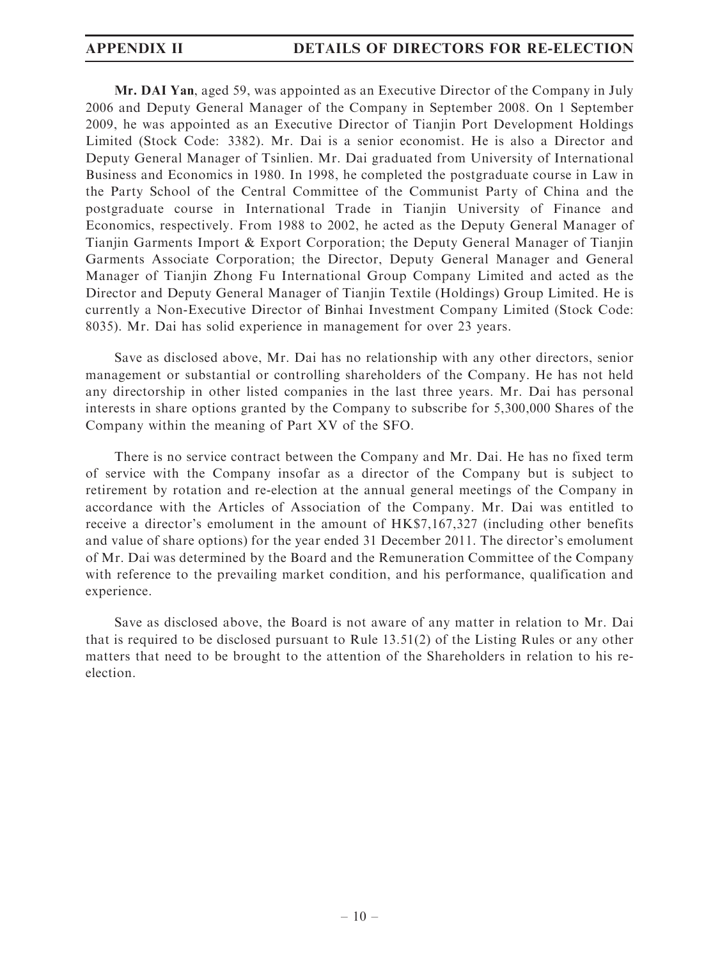Mr. DAI Yan, aged 59, was appointed as an Executive Director of the Company in July 2006 and Deputy General Manager of the Company in September 2008. On 1 September 2009, he was appointed as an Executive Director of Tianjin Port Development Holdings Limited (Stock Code: 3382). Mr. Dai is a senior economist. He is also a Director and Deputy General Manager of Tsinlien. Mr. Dai graduated from University of International Business and Economics in 1980. In 1998, he completed the postgraduate course in Law in the Party School of the Central Committee of the Communist Party of China and the postgraduate course in International Trade in Tianjin University of Finance and Economics, respectively. From 1988 to 2002, he acted as the Deputy General Manager of Tianjin Garments Import & Export Corporation; the Deputy General Manager of Tianjin Garments Associate Corporation; the Director, Deputy General Manager and General Manager of Tianjin Zhong Fu International Group Company Limited and acted as the Director and Deputy General Manager of Tianjin Textile (Holdings) Group Limited. He is currently a Non-Executive Director of Binhai Investment Company Limited (Stock Code: 8035). Mr. Dai has solid experience in management for over 23 years.

Save as disclosed above, Mr. Dai has no relationship with any other directors, senior management or substantial or controlling shareholders of the Company. He has not held any directorship in other listed companies in the last three years. Mr. Dai has personal interests in share options granted by the Company to subscribe for 5,300,000 Shares of the Company within the meaning of Part XV of the SFO.

There is no service contract between the Company and Mr. Dai. He has no fixed term of service with the Company insofar as a director of the Company but is subject to retirement by rotation and re-election at the annual general meetings of the Company in accordance with the Articles of Association of the Company. Mr. Dai was entitled to receive a director's emolument in the amount of HK\$7,167,327 (including other benefits and value of share options) for the year ended 31 December 2011. The director's emolument of Mr. Dai was determined by the Board and the Remuneration Committee of the Company with reference to the prevailing market condition, and his performance, qualification and experience.

Save as disclosed above, the Board is not aware of any matter in relation to Mr. Dai that is required to be disclosed pursuant to Rule 13.51(2) of the Listing Rules or any other matters that need to be brought to the attention of the Shareholders in relation to his reelection.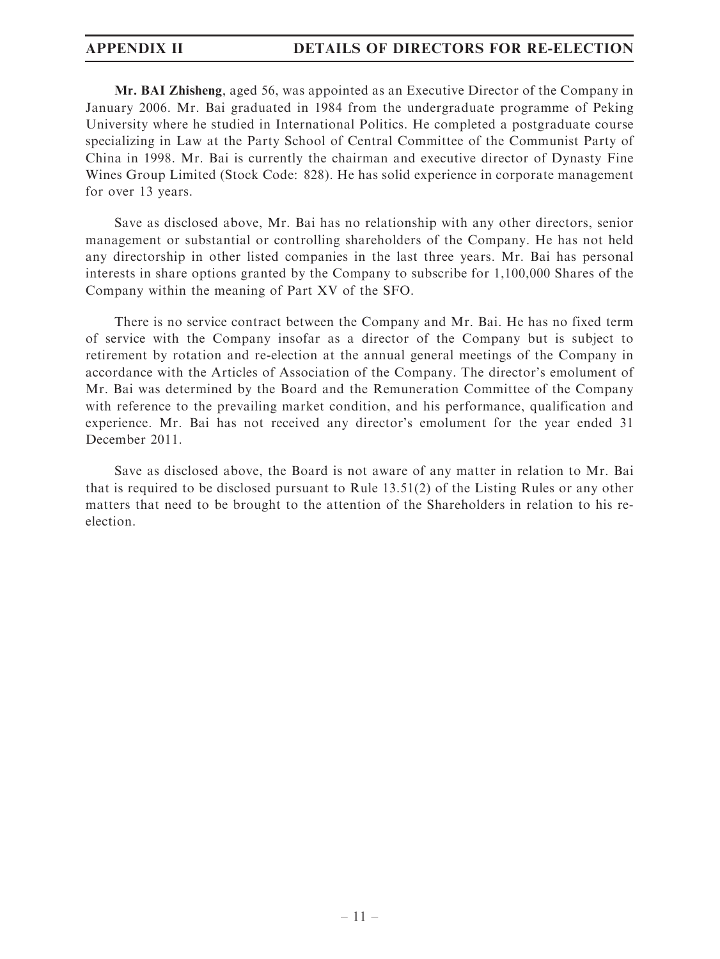Mr. BAI Zhisheng, aged 56, was appointed as an Executive Director of the Company in January 2006. Mr. Bai graduated in 1984 from the undergraduate programme of Peking University where he studied in International Politics. He completed a postgraduate course specializing in Law at the Party School of Central Committee of the Communist Party of China in 1998. Mr. Bai is currently the chairman and executive director of Dynasty Fine Wines Group Limited (Stock Code: 828). He has solid experience in corporate management for over 13 years.

Save as disclosed above, Mr. Bai has no relationship with any other directors, senior management or substantial or controlling shareholders of the Company. He has not held any directorship in other listed companies in the last three years. Mr. Bai has personal interests in share options granted by the Company to subscribe for 1,100,000 Shares of the Company within the meaning of Part XV of the SFO.

There is no service contract between the Company and Mr. Bai. He has no fixed term of service with the Company insofar as a director of the Company but is subject to retirement by rotation and re-election at the annual general meetings of the Company in accordance with the Articles of Association of the Company. The director's emolument of Mr. Bai was determined by the Board and the Remuneration Committee of the Company with reference to the prevailing market condition, and his performance, qualification and experience. Mr. Bai has not received any director's emolument for the year ended 31 December 2011.

Save as disclosed above, the Board is not aware of any matter in relation to Mr. Bai that is required to be disclosed pursuant to Rule 13.51(2) of the Listing Rules or any other matters that need to be brought to the attention of the Shareholders in relation to his reelection.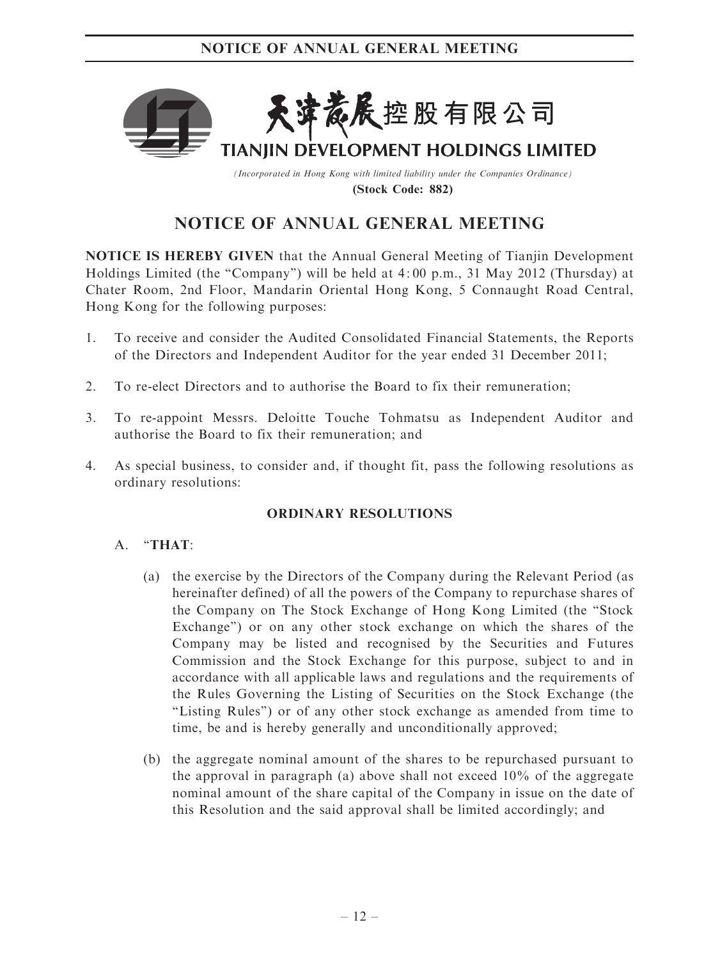

(Incorporated in Hong Kong with limited liability under the Companies Ordinance) (Stock Code: 882)

# NOTICE OF ANNUAL GENERAL MEETING

NOTICE IS HEREBY GIVEN that the Annual General Meeting of Tianjin Development Holdings Limited (the ''Company'') will be held at 4 : 00 p.m., 31 May 2012 (Thursday) at Chater Room, 2nd Floor, Mandarin Oriental Hong Kong, 5 Connaught Road Central, Hong Kong for the following purposes:

- 1. To receive and consider the Audited Consolidated Financial Statements, the Reports of the Directors and Independent Auditor for the year ended 31 December 2011;
- 2. To re-elect Directors and to authorise the Board to fix their remuneration;
- 3. To re-appoint Messrs. Deloitte Touche Tohmatsu as Independent Auditor and authorise the Board to fix their remuneration; and
- 4. As special business, to consider and, if thought fit, pass the following resolutions as ordinary resolutions:

# ORDINARY RESOLUTIONS

# A. "THAT:

- (a) the exercise by the Directors of the Company during the Relevant Period (as hereinafter defined) of all the powers of the Company to repurchase shares of the Company on The Stock Exchange of Hong Kong Limited (the ''Stock Exchange") or on any other stock exchange on which the shares of the Company may be listed and recognised by the Securities and Futures Commission and the Stock Exchange for this purpose, subject to and in accordance with all applicable laws and regulations and the requirements of the Rules Governing the Listing of Securities on the Stock Exchange (the ''Listing Rules'') or of any other stock exchange as amended from time to time, be and is hereby generally and unconditionally approved;
- (b) the aggregate nominal amount of the shares to be repurchased pursuant to the approval in paragraph (a) above shall not exceed 10% of the aggregate nominal amount of the share capital of the Company in issue on the date of this Resolution and the said approval shall be limited accordingly; and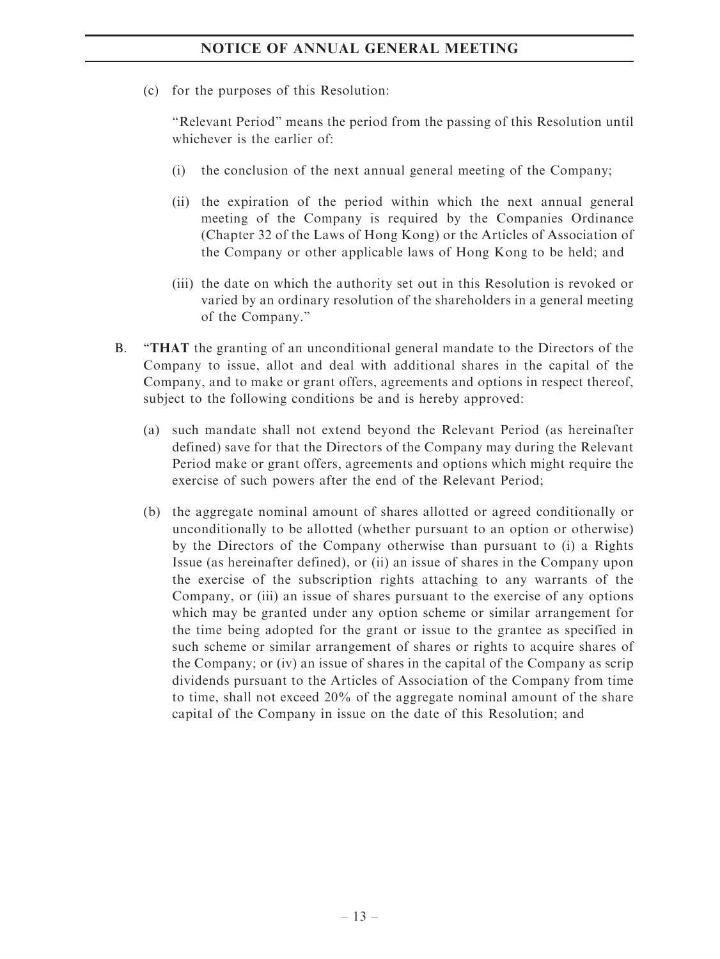# NOTICE OF ANNUAL GENERAL MEETING

(c) for the purposes of this Resolution:

''Relevant Period'' means the period from the passing of this Resolution until whichever is the earlier of:

- (i) the conclusion of the next annual general meeting of the Company;
- (ii) the expiration of the period within which the next annual general meeting of the Company is required by the Companies Ordinance (Chapter 32 of the Laws of Hong Kong) or the Articles of Association of the Company or other applicable laws of Hong Kong to be held; and
- (iii) the date on which the authority set out in this Resolution is revoked or varied by an ordinary resolution of the shareholders in a general meeting of the Company.''
- B. ''THAT the granting of an unconditional general mandate to the Directors of the Company to issue, allot and deal with additional shares in the capital of the Company, and to make or grant offers, agreements and options in respect thereof, subject to the following conditions be and is hereby approved:
	- (a) such mandate shall not extend beyond the Relevant Period (as hereinafter defined) save for that the Directors of the Company may during the Relevant Period make or grant offers, agreements and options which might require the exercise of such powers after the end of the Relevant Period;
	- (b) the aggregate nominal amount of shares allotted or agreed conditionally or unconditionally to be allotted (whether pursuant to an option or otherwise) by the Directors of the Company otherwise than pursuant to (i) a Rights Issue (as hereinafter defined), or (ii) an issue of shares in the Company upon the exercise of the subscription rights attaching to any warrants of the Company, or (iii) an issue of shares pursuant to the exercise of any options which may be granted under any option scheme or similar arrangement for the time being adopted for the grant or issue to the grantee as specified in such scheme or similar arrangement of shares or rights to acquire shares of the Company; or (iv) an issue of shares in the capital of the Company as scrip dividends pursuant to the Articles of Association of the Company from time to time, shall not exceed 20% of the aggregate nominal amount of the share capital of the Company in issue on the date of this Resolution; and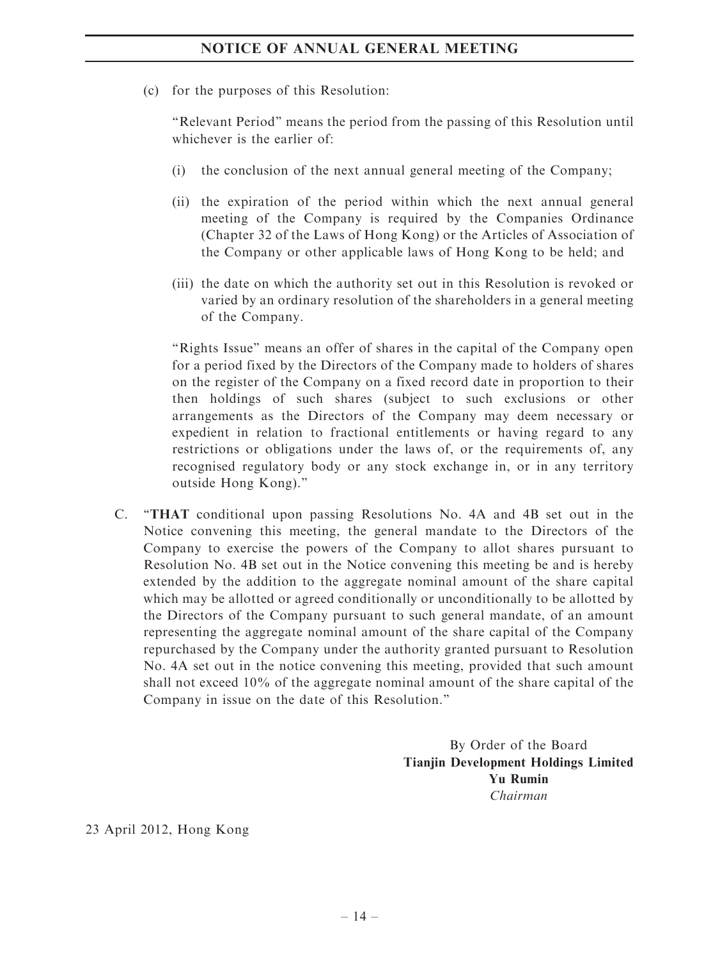# NOTICE OF ANNUAL GENERAL MEETING

(c) for the purposes of this Resolution:

''Relevant Period'' means the period from the passing of this Resolution until whichever is the earlier of:

- (i) the conclusion of the next annual general meeting of the Company;
- (ii) the expiration of the period within which the next annual general meeting of the Company is required by the Companies Ordinance (Chapter 32 of the Laws of Hong Kong) or the Articles of Association of the Company or other applicable laws of Hong Kong to be held; and
- (iii) the date on which the authority set out in this Resolution is revoked or varied by an ordinary resolution of the shareholders in a general meeting of the Company.

''Rights Issue'' means an offer of shares in the capital of the Company open for a period fixed by the Directors of the Company made to holders of shares on the register of the Company on a fixed record date in proportion to their then holdings of such shares (subject to such exclusions or other arrangements as the Directors of the Company may deem necessary or expedient in relation to fractional entitlements or having regard to any restrictions or obligations under the laws of, or the requirements of, any recognised regulatory body or any stock exchange in, or in any territory outside Hong Kong).''

C. ''THAT conditional upon passing Resolutions No. 4A and 4B set out in the Notice convening this meeting, the general mandate to the Directors of the Company to exercise the powers of the Company to allot shares pursuant to Resolution No. 4B set out in the Notice convening this meeting be and is hereby extended by the addition to the aggregate nominal amount of the share capital which may be allotted or agreed conditionally or unconditionally to be allotted by the Directors of the Company pursuant to such general mandate, of an amount representing the aggregate nominal amount of the share capital of the Company repurchased by the Company under the authority granted pursuant to Resolution No. 4A set out in the notice convening this meeting, provided that such amount shall not exceed 10% of the aggregate nominal amount of the share capital of the Company in issue on the date of this Resolution.''

> By Order of the Board Tianjin Development Holdings Limited Yu Rumin Chairman

23 April 2012, Hong Kong